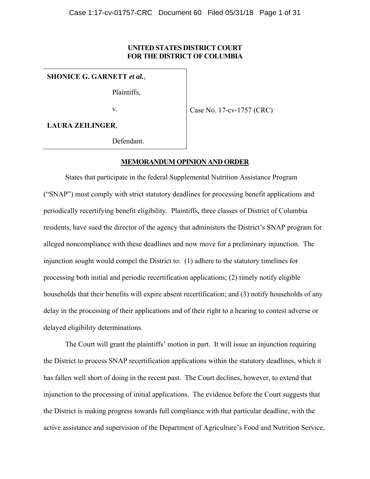## **UNITED STATES DISTRICT COURT FOR THE DISTRICT OF COLUMBIA**

**SHONICE G. GARNETT** *et al.*,

Plaintiffs,

v.

Case No. 17-cv-1757 (CRC)

**LAURA ZEILINGER**,

Defendant.

### **MEMORANDUM OPINION AND ORDER**

States that participate in the federal Supplemental Nutrition Assistance Program ("SNAP") must comply with strict statutory deadlines for processing benefit applications and periodically recertifying benefit eligibility. Plaintiffs, three classes of District of Columbia residents, have sued the director of the agency that administers the District's SNAP program for alleged noncompliance with these deadlines and now move for a preliminary injunction. The injunction sought would compel the District to: (1) adhere to the statutory timelines for processing both initial and periodic recertification applications; (2) timely notify eligible households that their benefits will expire absent recertification; and (3) notify households of any delay in the processing of their applications and of their right to a hearing to contest adverse or delayed eligibility determinations.

The Court will grant the plaintiffs' motion in part. It will issue an injunction requiring the District to process SNAP recertification applications within the statutory deadlines, which it has fallen well short of doing in the recent past. The Court declines, however, to extend that injunction to the processing of initial applications. The evidence before the Court suggests that the District is making progress towards full compliance with that particular deadline, with the active assistance and supervision of the Department of Agriculture's Food and Nutrition Service,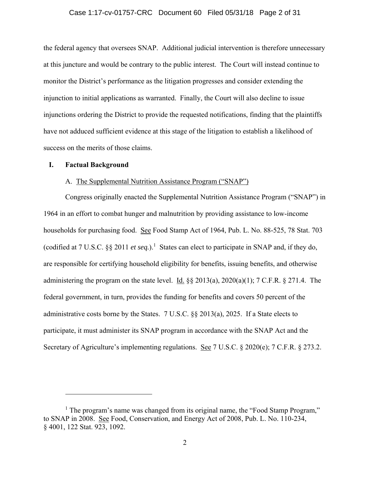#### Case 1:17-cv-01757-CRC Document 60 Filed 05/31/18 Page 2 of 31

the federal agency that oversees SNAP. Additional judicial intervention is therefore unnecessary at this juncture and would be contrary to the public interest. The Court will instead continue to monitor the District's performance as the litigation progresses and consider extending the injunction to initial applications as warranted. Finally, the Court will also decline to issue injunctions ordering the District to provide the requested notifications, finding that the plaintiffs have not adduced sufficient evidence at this stage of the litigation to establish a likelihood of success on the merits of those claims.

#### **I. Factual Background**

 $\overline{a}$ 

## A. The Supplemental Nutrition Assistance Program ("SNAP")

Congress originally enacted the Supplemental Nutrition Assistance Program ("SNAP") in 1964 in an effort to combat hunger and malnutrition by providing assistance to low-income households for purchasing food. See Food Stamp Act of 1964, Pub. L. No. 88-525, 78 Stat. 703 (codified at 7 U.S.C.  $\S\S 2011$  *et seq.*).<sup>1</sup> States can elect to participate in SNAP and, if they do, are responsible for certifying household eligibility for benefits, issuing benefits, and otherwise administering the program on the state level. Id.  $\S$ § 2013(a), 2020(a)(1); 7 C.F.R. § 271.4. The federal government, in turn, provides the funding for benefits and covers 50 percent of the administrative costs borne by the States. 7 U.S.C. §§ 2013(a), 2025. If a State elects to participate, it must administer its SNAP program in accordance with the SNAP Act and the Secretary of Agriculture's implementing regulations. See 7 U.S.C. § 2020(e); 7 C.F.R. § 273.2.

<sup>&</sup>lt;sup>1</sup> The program's name was changed from its original name, the "Food Stamp Program," to SNAP in 2008. See Food, Conservation, and Energy Act of 2008, Pub. L. No. 110-234, § 4001, 122 Stat. 923, 1092.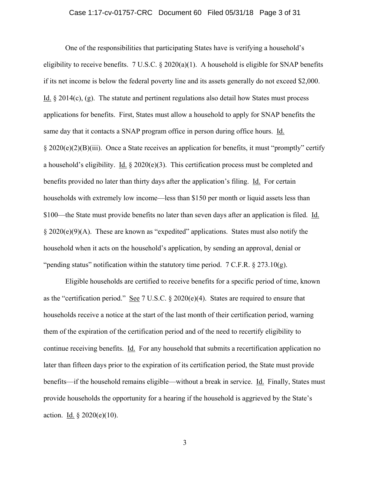#### Case 1:17-cv-01757-CRC Document 60 Filed 05/31/18 Page 3 of 31

One of the responsibilities that participating States have is verifying a household's eligibility to receive benefits. 7 U.S.C.  $\S 2020(a)(1)$ . A household is eligible for SNAP benefits if its net income is below the federal poverty line and its assets generally do not exceed \$2,000. Id. § 2014(c), (g). The statute and pertinent regulations also detail how States must process applications for benefits. First, States must allow a household to apply for SNAP benefits the same day that it contacts a SNAP program office in person during office hours. Id. § 2020(e)(2)(B)(iii). Once a State receives an application for benefits, it must "promptly" certify a household's eligibility. Id.  $\S 2020(e)(3)$ . This certification process must be completed and benefits provided no later than thirty days after the application's filing. Id. For certain households with extremely low income—less than \$150 per month or liquid assets less than \$100—the State must provide benefits no later than seven days after an application is filed. Id. § 2020(e)(9)(A). These are known as "expedited" applications. States must also notify the household when it acts on the household's application, by sending an approval, denial or "pending status" notification within the statutory time period.  $7 \text{ C.F.R.} \$   $273.10(g)$ .

 Eligible households are certified to receive benefits for a specific period of time, known as the "certification period." See 7 U.S.C. § 2020(e)(4). States are required to ensure that households receive a notice at the start of the last month of their certification period, warning them of the expiration of the certification period and of the need to recertify eligibility to continue receiving benefits. Id. For any household that submits a recertification application no later than fifteen days prior to the expiration of its certification period, the State must provide benefits—if the household remains eligible—without a break in service. Id. Finally, States must provide households the opportunity for a hearing if the household is aggrieved by the State's action. Id.  $\S 2020(e)(10)$ .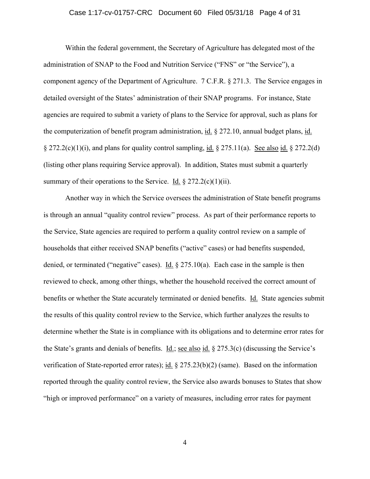#### Case 1:17-cv-01757-CRC Document 60 Filed 05/31/18 Page 4 of 31

Within the federal government, the Secretary of Agriculture has delegated most of the administration of SNAP to the Food and Nutrition Service ("FNS" or "the Service"), a component agency of the Department of Agriculture. 7 C.F.R. § 271.3. The Service engages in detailed oversight of the States' administration of their SNAP programs. For instance, State agencies are required to submit a variety of plans to the Service for approval, such as plans for the computerization of benefit program administration, id. § 272.10, annual budget plans, id.  $\S 272.2(c)(1)(i)$ , and plans for quality control sampling, id.  $\S 275.11(a)$ . See also id.  $\S 272.2(d)$ (listing other plans requiring Service approval). In addition, States must submit a quarterly summary of their operations to the Service. Id.  $\S 272.2(c)(1)(ii)$ .

Another way in which the Service oversees the administration of State benefit programs is through an annual "quality control review" process. As part of their performance reports to the Service, State agencies are required to perform a quality control review on a sample of households that either received SNAP benefits ("active" cases) or had benefits suspended, denied, or terminated ("negative" cases). <u>Id.</u>  $\S 275.10(a)$ . Each case in the sample is then reviewed to check, among other things, whether the household received the correct amount of benefits or whether the State accurately terminated or denied benefits. Id. State agencies submit the results of this quality control review to the Service, which further analyzes the results to determine whether the State is in compliance with its obligations and to determine error rates for the State's grants and denials of benefits. <u>Id.; see also id.</u> § 275.3(c) (discussing the Service's verification of State-reported error rates); id. § 275.23(b)(2) (same). Based on the information reported through the quality control review, the Service also awards bonuses to States that show "high or improved performance" on a variety of measures, including error rates for payment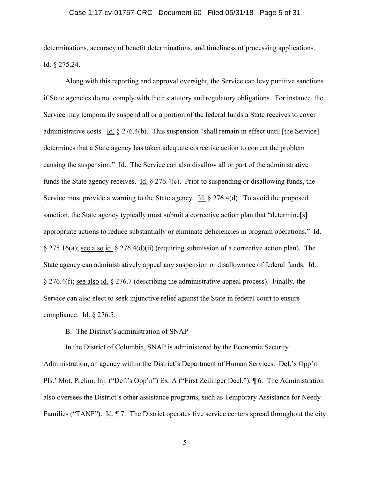#### Case 1:17-cv-01757-CRC Document 60 Filed 05/31/18 Page 5 of 31

determinations, accuracy of benefit determinations, and timeliness of processing applications. Id. § 275.24.

Along with this reporting and approval oversight, the Service can levy punitive sanctions if State agencies do not comply with their statutory and regulatory obligations. For instance, the Service may temporarily suspend all or a portion of the federal funds a State receives to cover administrative costs. Id. § 276.4(b). This suspension "shall remain in effect until [the Service] determines that a State agency has taken adequate corrective action to correct the problem causing the suspension." Id. The Service can also disallow all or part of the administrative funds the State agency receives. Id. § 276.4(c). Prior to suspending or disallowing funds, the Service must provide a warning to the State agency. Id.  $\S 276.4(d)$ . To avoid the proposed sanction, the State agency typically must submit a corrective action plan that "determine[s] appropriate actions to reduce substantially or eliminate deficiencies in program operations." Id. § 275.16(a); see also id. § 276.4(d)(ii) (requiring submission of a corrective action plan). The State agency can administratively appeal any suspension or disallowance of federal funds. Id. § 276.4(f); see also id. § 276.7 (describing the administrative appeal process). Finally, the Service can also elect to seek injunctive relief against the State in federal court to ensure compliance. Id. § 276.5.

### B. The District's administration of SNAP

In the District of Columbia, SNAP is administered by the Economic Security Administration, an agency within the District's Department of Human Services. Def.'s Opp'n Pls.' Mot. Prelim. Inj. ("Def.'s Opp'n") Ex. A ("First Zeilinger Decl."), ¶ 6. The Administration also oversees the District's other assistance programs, such as Temporary Assistance for Needy Families ("TANF"). Id. ¶ 7. The District operates five service centers spread throughout the city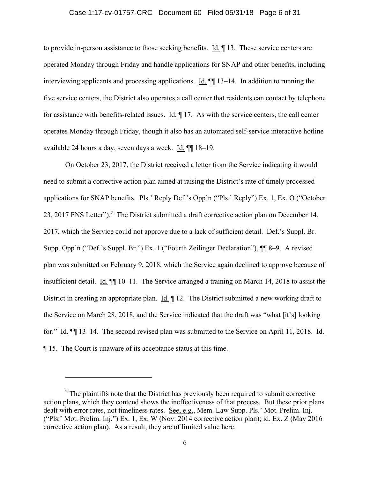# Case 1:17-cv-01757-CRC Document 60 Filed 05/31/18 Page 6 of 31

to provide in-person assistance to those seeking benefits. Id. ¶ 13. These service centers are operated Monday through Friday and handle applications for SNAP and other benefits, including interviewing applicants and processing applications. Id.  $\P$  13–14. In addition to running the five service centers, the District also operates a call center that residents can contact by telephone for assistance with benefits-related issues. Id. ¶ 17. As with the service centers, the call center operates Monday through Friday, though it also has an automated self-service interactive hotline available 24 hours a day, seven days a week. Id. ¶¶ 18–19.

On October 23, 2017, the District received a letter from the Service indicating it would need to submit a corrective action plan aimed at raising the District's rate of timely processed applications for SNAP benefits. Pls.' Reply Def.'s Opp'n ("Pls.' Reply") Ex. 1, Ex. O ("October 23, 2017 FNS Letter").<sup>2</sup> The District submitted a draft corrective action plan on December 14, 2017, which the Service could not approve due to a lack of sufficient detail. Def.'s Suppl. Br. Supp. Opp'n ("Def.'s Suppl. Br.") Ex. 1 ("Fourth Zeilinger Declaration"), ¶¶ 8–9. A revised plan was submitted on February 9, 2018, which the Service again declined to approve because of insufficient detail. Id. ¶¶ 10–11. The Service arranged a training on March 14, 2018 to assist the District in creating an appropriate plan. Id.  $\P$  12. The District submitted a new working draft to the Service on March 28, 2018, and the Service indicated that the draft was "what [it's] looking for." Id. ¶¶ 13–14. The second revised plan was submitted to the Service on April 11, 2018. Id. ¶ 15. The Court is unaware of its acceptance status at this time.

 $\overline{a}$ 

 $2$  The plaintiffs note that the District has previously been required to submit corrective action plans, which they contend shows the ineffectiveness of that process. But these prior plans dealt with error rates, not timeliness rates. See, e.g., Mem. Law Supp. Pls.' Mot. Prelim. Inj. ("Pls.' Mot. Prelim. Inj.") Ex. 1, Ex. W (Nov. 2014 corrective action plan); id. Ex. Z (May 2016 corrective action plan). As a result, they are of limited value here.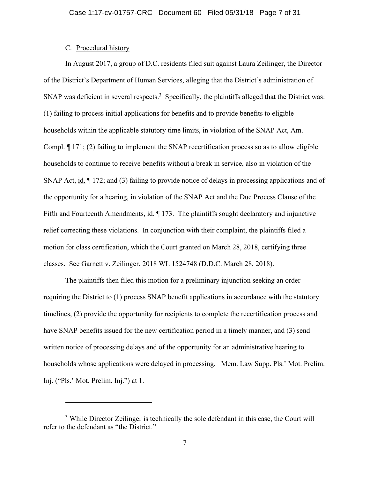## C. Procedural history

 $\overline{a}$ 

In August 2017, a group of D.C. residents filed suit against Laura Zeilinger, the Director of the District's Department of Human Services, alleging that the District's administration of SNAP was deficient in several respects.<sup>3</sup> Specifically, the plaintiffs alleged that the District was: (1) failing to process initial applications for benefits and to provide benefits to eligible households within the applicable statutory time limits, in violation of the SNAP Act, Am. Compl. ¶ 171; (2) failing to implement the SNAP recertification process so as to allow eligible households to continue to receive benefits without a break in service, also in violation of the SNAP Act, id. ¶ 172; and (3) failing to provide notice of delays in processing applications and of the opportunity for a hearing, in violation of the SNAP Act and the Due Process Clause of the Fifth and Fourteenth Amendments, id.  $\P$  173. The plaintiffs sought declaratory and injunctive relief correcting these violations. In conjunction with their complaint, the plaintiffs filed a motion for class certification, which the Court granted on March 28, 2018, certifying three classes. See Garnett v. Zeilinger, 2018 WL 1524748 (D.D.C. March 28, 2018).

The plaintiffs then filed this motion for a preliminary injunction seeking an order requiring the District to (1) process SNAP benefit applications in accordance with the statutory timelines, (2) provide the opportunity for recipients to complete the recertification process and have SNAP benefits issued for the new certification period in a timely manner, and (3) send written notice of processing delays and of the opportunity for an administrative hearing to households whose applications were delayed in processing. Mem. Law Supp. Pls.' Mot. Prelim. Inj. ("Pls.' Mot. Prelim. Inj.") at 1.

<sup>&</sup>lt;sup>3</sup> While Director Zeilinger is technically the sole defendant in this case, the Court will refer to the defendant as "the District."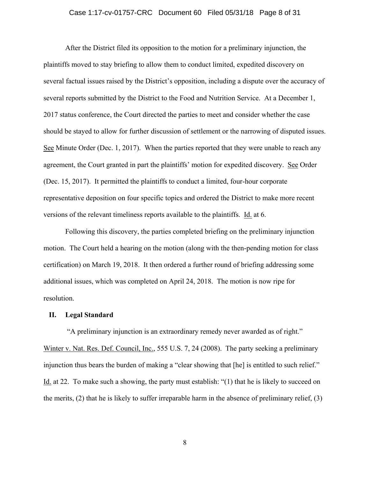#### Case 1:17-cv-01757-CRC Document 60 Filed 05/31/18 Page 8 of 31

After the District filed its opposition to the motion for a preliminary injunction, the plaintiffs moved to stay briefing to allow them to conduct limited, expedited discovery on several factual issues raised by the District's opposition, including a dispute over the accuracy of several reports submitted by the District to the Food and Nutrition Service. At a December 1, 2017 status conference, the Court directed the parties to meet and consider whether the case should be stayed to allow for further discussion of settlement or the narrowing of disputed issues. See Minute Order (Dec. 1, 2017). When the parties reported that they were unable to reach any agreement, the Court granted in part the plaintiffs' motion for expedited discovery. See Order (Dec. 15, 2017). It permitted the plaintiffs to conduct a limited, four-hour corporate representative deposition on four specific topics and ordered the District to make more recent versions of the relevant timeliness reports available to the plaintiffs. Id. at 6.

Following this discovery, the parties completed briefing on the preliminary injunction motion. The Court held a hearing on the motion (along with the then-pending motion for class certification) on March 19, 2018. It then ordered a further round of briefing addressing some additional issues, which was completed on April 24, 2018. The motion is now ripe for resolution.

#### **II. Legal Standard**

 "A preliminary injunction is an extraordinary remedy never awarded as of right." Winter v. Nat. Res. Def. Council, Inc., 555 U.S. 7, 24 (2008). The party seeking a preliminary injunction thus bears the burden of making a "clear showing that [he] is entitled to such relief." Id. at 22. To make such a showing, the party must establish: "(1) that he is likely to succeed on the merits, (2) that he is likely to suffer irreparable harm in the absence of preliminary relief, (3)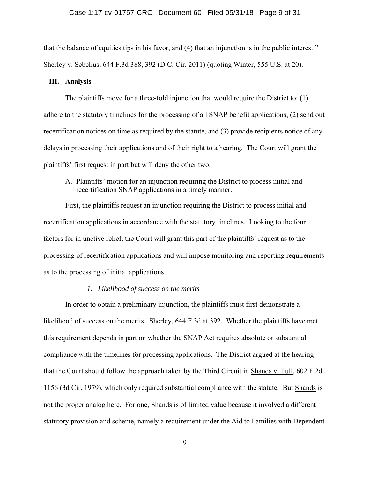#### Case 1:17-cv-01757-CRC Document 60 Filed 05/31/18 Page 9 of 31

that the balance of equities tips in his favor, and (4) that an injunction is in the public interest." Sherley v. Sebelius, 644 F.3d 388, 392 (D.C. Cir. 2011) (quoting Winter, 555 U.S. at 20).

#### **III. Analysis**

The plaintiffs move for a three-fold injunction that would require the District to: (1) adhere to the statutory timelines for the processing of all SNAP benefit applications, (2) send out recertification notices on time as required by the statute, and (3) provide recipients notice of any delays in processing their applications and of their right to a hearing. The Court will grant the plaintiffs' first request in part but will deny the other two.

## A. Plaintiffs' motion for an injunction requiring the District to process initial and recertification SNAP applications in a timely manner.

First, the plaintiffs request an injunction requiring the District to process initial and recertification applications in accordance with the statutory timelines. Looking to the four factors for injunctive relief, the Court will grant this part of the plaintiffs' request as to the processing of recertification applications and will impose monitoring and reporting requirements as to the processing of initial applications.

#### *1. Likelihood of success on the merits*

In order to obtain a preliminary injunction, the plaintiffs must first demonstrate a likelihood of success on the merits. Sherley, 644 F.3d at 392. Whether the plaintiffs have met this requirement depends in part on whether the SNAP Act requires absolute or substantial compliance with the timelines for processing applications. The District argued at the hearing that the Court should follow the approach taken by the Third Circuit in Shands v. Tull, 602 F.2d 1156 (3d Cir. 1979), which only required substantial compliance with the statute. But Shands is not the proper analog here. For one, **Shands** is of limited value because it involved a different statutory provision and scheme, namely a requirement under the Aid to Families with Dependent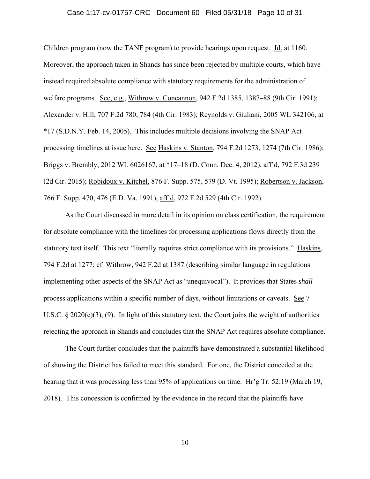#### Case 1:17-cv-01757-CRC Document 60 Filed 05/31/18 Page 10 of 31

Children program (now the TANF program) to provide hearings upon request. Id. at 1160. Moreover, the approach taken in Shands has since been rejected by multiple courts, which have instead required absolute compliance with statutory requirements for the administration of welfare programs. See, e.g., Withrow v. Concannon, 942 F.2d 1385, 1387–88 (9th Cir. 1991); Alexander v. Hill, 707 F.2d 780, 784 (4th Cir. 1983); Reynolds v. Giuliani, 2005 WL 342106, at \*17 (S.D.N.Y. Feb. 14, 2005). This includes multiple decisions involving the SNAP Act processing timelines at issue here. See Haskins v. Stanton, 794 F.2d 1273, 1274 (7th Cir. 1986); Briggs v. Brembly, 2012 WL 6026167, at \*17–18 (D. Conn. Dec. 4, 2012), aff'd, 792 F.3d 239 (2d Cir. 2015); Robidoux v. Kitchel, 876 F. Supp. 575, 579 (D. Vt. 1995); Robertson v. Jackson, 766 F. Supp. 470, 476 (E.D. Va. 1991), aff'd, 972 F.2d 529 (4th Cir. 1992).

As the Court discussed in more detail in its opinion on class certification, the requirement for absolute compliance with the timelines for processing applications flows directly from the statutory text itself. This text "literally requires strict compliance with its provisions." Haskins, 794 F.2d at 1277; cf. Withrow, 942 F.2d at 1387 (describing similar language in regulations implementing other aspects of the SNAP Act as "unequivocal"). It provides that States *shall* process applications within a specific number of days, without limitations or caveats. See 7 U.S.C. § 2020(e)(3), (9). In light of this statutory text, the Court joins the weight of authorities rejecting the approach in Shands and concludes that the SNAP Act requires absolute compliance.

The Court further concludes that the plaintiffs have demonstrated a substantial likelihood of showing the District has failed to meet this standard. For one, the District conceded at the hearing that it was processing less than 95% of applications on time. Hr'g Tr. 52:19 (March 19, 2018). This concession is confirmed by the evidence in the record that the plaintiffs have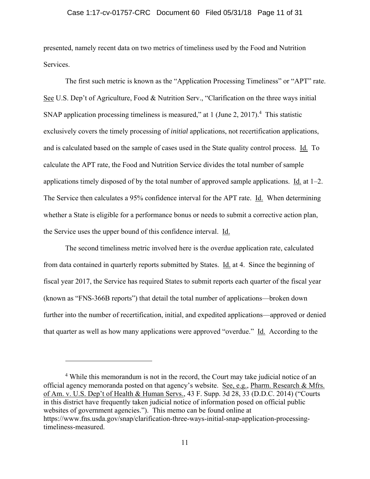#### Case 1:17-cv-01757-CRC Document 60 Filed 05/31/18 Page 11 of 31

presented, namely recent data on two metrics of timeliness used by the Food and Nutrition Services.

The first such metric is known as the "Application Processing Timeliness" or "APT" rate. See U.S. Dep't of Agriculture, Food & Nutrition Serv., "Clarification on the three ways initial SNAP application processing timeliness is measured," at 1 (June 2, 2017).<sup>4</sup> This statistic exclusively covers the timely processing of *initial* applications, not recertification applications, and is calculated based on the sample of cases used in the State quality control process. Id. To calculate the APT rate, the Food and Nutrition Service divides the total number of sample applications timely disposed of by the total number of approved sample applications. Id. at 1–2. The Service then calculates a 95% confidence interval for the APT rate. Id. When determining whether a State is eligible for a performance bonus or needs to submit a corrective action plan, the Service uses the upper bound of this confidence interval. Id.

The second timeliness metric involved here is the overdue application rate, calculated from data contained in quarterly reports submitted by States. Id. at 4. Since the beginning of fiscal year 2017, the Service has required States to submit reports each quarter of the fiscal year (known as "FNS-366B reports") that detail the total number of applications—broken down further into the number of recertification, initial, and expedited applications—approved or denied that quarter as well as how many applications were approved "overdue." Id. According to the

 $\overline{a}$ 

<sup>&</sup>lt;sup>4</sup> While this memorandum is not in the record, the Court may take judicial notice of an official agency memoranda posted on that agency's website. See, e.g., Pharm. Research & Mfrs. of Am. v. U.S. Dep't of Health & Human Servs., 43 F. Supp. 3d 28, 33 (D.D.C. 2014) ("Courts in this district have frequently taken judicial notice of information posed on official public websites of government agencies."). This memo can be found online at https://www.fns.usda.gov/snap/clarification-three-ways-initial-snap-application-processingtimeliness-measured.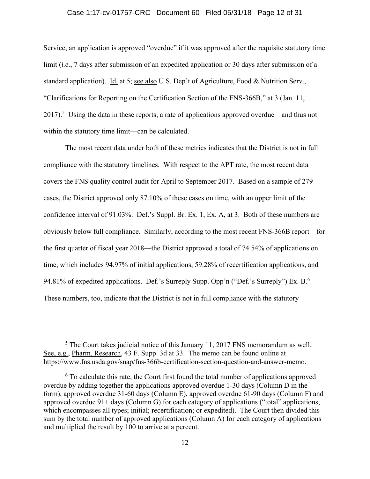#### Case 1:17-cv-01757-CRC Document 60 Filed 05/31/18 Page 12 of 31

Service, an application is approved "overdue" if it was approved after the requisite statutory time limit *(i.e.*, 7 days after submission of an expedited application or 30 days after submission of a standard application). Id. at 5; see also U.S. Dep't of Agriculture, Food & Nutrition Serv., "Clarifications for Reporting on the Certification Section of the FNS-366B," at 3 (Jan. 11,  $2017$ ).<sup>5</sup> Using the data in these reports, a rate of applications approved overdue—and thus not within the statutory time limit—can be calculated.

The most recent data under both of these metrics indicates that the District is not in full compliance with the statutory timelines. With respect to the APT rate, the most recent data covers the FNS quality control audit for April to September 2017. Based on a sample of 279 cases, the District approved only 87.10% of these cases on time, with an upper limit of the confidence interval of 91.03%. Def.'s Suppl. Br. Ex. 1, Ex. A, at 3. Both of these numbers are obviously below full compliance. Similarly, according to the most recent FNS-366B report—for the first quarter of fiscal year 2018—the District approved a total of 74.54% of applications on time, which includes 94.97% of initial applications, 59.28% of recertification applications, and 94.81% of expedited applications. Def.'s Surreply Supp. Opp'n ("Def.'s Surreply") Ex. B.<sup>6</sup> These numbers, too, indicate that the District is not in full compliance with the statutory

 $<sup>5</sup>$  The Court takes judicial notice of this January 11, 2017 FNS memorandum as well.</sup> See, e.g., Pharm. Research, 43 F. Supp. 3d at 33. The memo can be found online at https://www.fns.usda.gov/snap/fns-366b-certification-section-question-and-answer-memo.

<sup>&</sup>lt;sup>6</sup> To calculate this rate, the Court first found the total number of applications approved overdue by adding together the applications approved overdue 1-30 days (Column D in the form), approved overdue 31-60 days (Column E), approved overdue 61-90 days (Column F) and approved overdue 91+ days (Column G) for each category of applications ("total" applications, which encompasses all types; initial; recertification; or expedited). The Court then divided this sum by the total number of approved applications (Column A) for each category of applications and multiplied the result by 100 to arrive at a percent.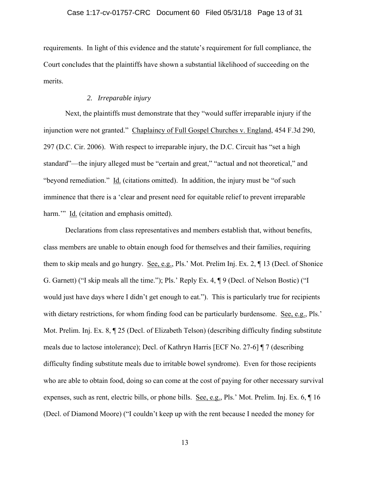requirements. In light of this evidence and the statute's requirement for full compliance, the Court concludes that the plaintiffs have shown a substantial likelihood of succeeding on the merits.

## *2. Irreparable injury*

Next, the plaintiffs must demonstrate that they "would suffer irreparable injury if the injunction were not granted." Chaplaincy of Full Gospel Churches v. England, 454 F.3d 290, 297 (D.C. Cir. 2006). With respect to irreparable injury, the D.C. Circuit has "set a high standard"—the injury alleged must be "certain and great," "actual and not theoretical," and "beyond remediation." Id. (citations omitted). In addition, the injury must be "of such imminence that there is a 'clear and present need for equitable relief to prevent irreparable harm."" Id. (citation and emphasis omitted).

Declarations from class representatives and members establish that, without benefits, class members are unable to obtain enough food for themselves and their families, requiring them to skip meals and go hungry. See, e.g., Pls.' Mot. Prelim Inj. Ex. 2, ¶ 13 (Decl. of Shonice G. Garnett) ("I skip meals all the time."); Pls.' Reply Ex. 4, ¶ 9 (Decl. of Nelson Bostic) ("I would just have days where I didn't get enough to eat."). This is particularly true for recipients with dietary restrictions, for whom finding food can be particularly burdensome. See, e.g., Pls.' Mot. Prelim. Inj. Ex. 8, ¶ 25 (Decl. of Elizabeth Telson) (describing difficulty finding substitute meals due to lactose intolerance); Decl. of Kathryn Harris [ECF No. 27-6] ¶ 7 (describing difficulty finding substitute meals due to irritable bowel syndrome). Even for those recipients who are able to obtain food, doing so can come at the cost of paying for other necessary survival expenses, such as rent, electric bills, or phone bills. See, e.g., Pls.' Mot. Prelim. Inj. Ex. 6, ¶ 16 (Decl. of Diamond Moore) ("I couldn't keep up with the rent because I needed the money for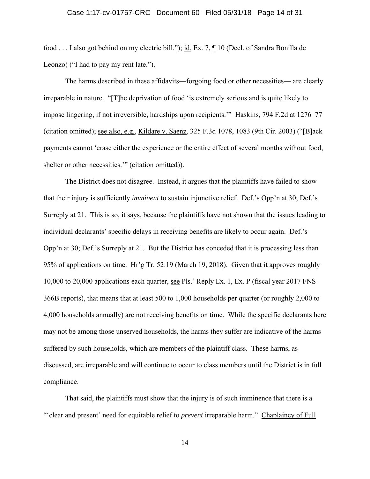#### Case 1:17-cv-01757-CRC Document 60 Filed 05/31/18 Page 14 of 31

food . . . I also got behind on my electric bill."); id. Ex. 7, ¶ 10 (Decl. of Sandra Bonilla de Leonzo) ("I had to pay my rent late.").

 The harms described in these affidavits—forgoing food or other necessities— are clearly irreparable in nature. "[T]he deprivation of food 'is extremely serious and is quite likely to impose lingering, if not irreversible, hardships upon recipients.'" Haskins, 794 F.2d at 1276–77 (citation omitted); see also, e.g., Kildare v. Saenz, 325 F.3d 1078, 1083 (9th Cir. 2003) ("[B]ack payments cannot 'erase either the experience or the entire effect of several months without food, shelter or other necessities." (citation omitted)).

 The District does not disagree. Instead, it argues that the plaintiffs have failed to show that their injury is sufficiently *imminent* to sustain injunctive relief. Def.'s Opp'n at 30; Def.'s Surreply at 21. This is so, it says, because the plaintiffs have not shown that the issues leading to individual declarants' specific delays in receiving benefits are likely to occur again. Def.'s Opp'n at 30; Def.'s Surreply at 21. But the District has conceded that it is processing less than 95% of applications on time. Hr'g Tr. 52:19 (March 19, 2018). Given that it approves roughly 10,000 to 20,000 applications each quarter, see Pls.' Reply Ex. 1, Ex. P (fiscal year 2017 FNS-366B reports), that means that at least 500 to 1,000 households per quarter (or roughly 2,000 to 4,000 households annually) are not receiving benefits on time. While the specific declarants here may not be among those unserved households, the harms they suffer are indicative of the harms suffered by such households, which are members of the plaintiff class. These harms, as discussed, are irreparable and will continue to occur to class members until the District is in full compliance.

 That said, the plaintiffs must show that the injury is of such imminence that there is a "'clear and present' need for equitable relief to *prevent* irreparable harm." Chaplaincy of Full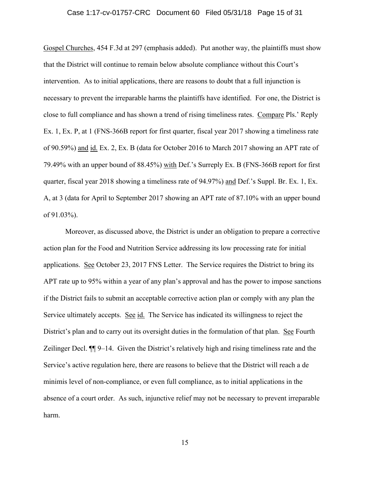#### Case 1:17-cv-01757-CRC Document 60 Filed 05/31/18 Page 15 of 31

Gospel Churches, 454 F.3d at 297 (emphasis added). Put another way, the plaintiffs must show that the District will continue to remain below absolute compliance without this Court's intervention. As to initial applications, there are reasons to doubt that a full injunction is necessary to prevent the irreparable harms the plaintiffs have identified. For one, the District is close to full compliance and has shown a trend of rising timeliness rates. Compare Pls.' Reply Ex. 1, Ex. P, at 1 (FNS-366B report for first quarter, fiscal year 2017 showing a timeliness rate of 90.59%) and id. Ex. 2, Ex. B (data for October 2016 to March 2017 showing an APT rate of 79.49% with an upper bound of 88.45%) with Def.'s Surreply Ex. B (FNS-366B report for first quarter, fiscal year 2018 showing a timeliness rate of 94.97%) and Def.'s Suppl. Br. Ex. 1, Ex. A, at 3 (data for April to September 2017 showing an APT rate of 87.10% with an upper bound of 91.03%).

Moreover, as discussed above, the District is under an obligation to prepare a corrective action plan for the Food and Nutrition Service addressing its low processing rate for initial applications. See October 23, 2017 FNS Letter. The Service requires the District to bring its APT rate up to 95% within a year of any plan's approval and has the power to impose sanctions if the District fails to submit an acceptable corrective action plan or comply with any plan the Service ultimately accepts. See id. The Service has indicated its willingness to reject the District's plan and to carry out its oversight duties in the formulation of that plan. See Fourth Zeilinger Decl. ¶¶ 9–14. Given the District's relatively high and rising timeliness rate and the Service's active regulation here, there are reasons to believe that the District will reach a de minimis level of non-compliance, or even full compliance, as to initial applications in the absence of a court order. As such, injunctive relief may not be necessary to prevent irreparable harm.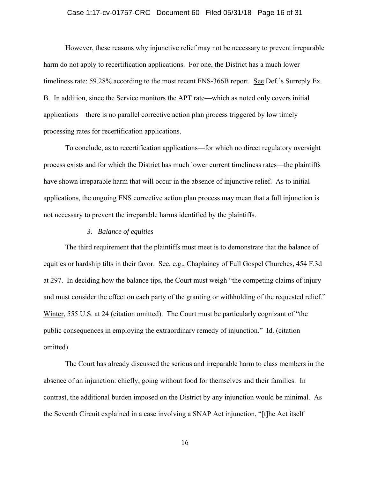#### Case 1:17-cv-01757-CRC Document 60 Filed 05/31/18 Page 16 of 31

However, these reasons why injunctive relief may not be necessary to prevent irreparable harm do not apply to recertification applications. For one, the District has a much lower timeliness rate: 59.28% according to the most recent FNS-366B report. See Def.'s Surreply Ex. B. In addition, since the Service monitors the APT rate—which as noted only covers initial applications—there is no parallel corrective action plan process triggered by low timely processing rates for recertification applications.

 To conclude, as to recertification applications—for which no direct regulatory oversight process exists and for which the District has much lower current timeliness rates—the plaintiffs have shown irreparable harm that will occur in the absence of injunctive relief. As to initial applications, the ongoing FNS corrective action plan process may mean that a full injunction is not necessary to prevent the irreparable harms identified by the plaintiffs.

### *3. Balance of equities*

The third requirement that the plaintiffs must meet is to demonstrate that the balance of equities or hardship tilts in their favor. See, e.g., Chaplaincy of Full Gospel Churches, 454 F.3d at 297. In deciding how the balance tips, the Court must weigh "the competing claims of injury and must consider the effect on each party of the granting or withholding of the requested relief." Winter, 555 U.S. at 24 (citation omitted). The Court must be particularly cognizant of "the public consequences in employing the extraordinary remedy of injunction." Id. (citation omitted).

The Court has already discussed the serious and irreparable harm to class members in the absence of an injunction: chiefly, going without food for themselves and their families. In contrast, the additional burden imposed on the District by any injunction would be minimal. As the Seventh Circuit explained in a case involving a SNAP Act injunction, "[t]he Act itself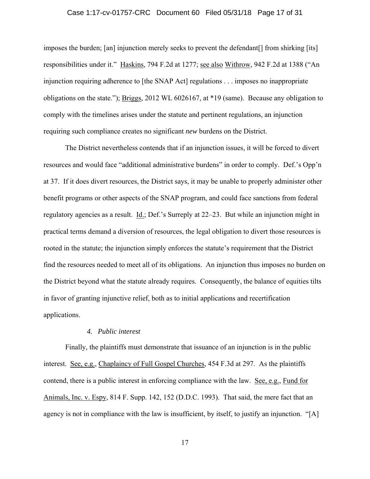#### Case 1:17-cv-01757-CRC Document 60 Filed 05/31/18 Page 17 of 31

imposes the burden; [an] injunction merely seeks to prevent the defendant[] from shirking [its] responsibilities under it." Haskins, 794 F.2d at 1277; see also Withrow, 942 F.2d at 1388 ("An injunction requiring adherence to [the SNAP Act] regulations . . . imposes no inappropriate obligations on the state."); Briggs, 2012 WL 6026167, at \*19 (same). Because any obligation to comply with the timelines arises under the statute and pertinent regulations, an injunction requiring such compliance creates no significant *new* burdens on the District.

The District nevertheless contends that if an injunction issues, it will be forced to divert resources and would face "additional administrative burdens" in order to comply. Def.'s Opp'n at 37. If it does divert resources, the District says, it may be unable to properly administer other benefit programs or other aspects of the SNAP program, and could face sanctions from federal regulatory agencies as a result. Id.; Def.'s Surreply at 22–23. But while an injunction might in practical terms demand a diversion of resources, the legal obligation to divert those resources is rooted in the statute; the injunction simply enforces the statute's requirement that the District find the resources needed to meet all of its obligations. An injunction thus imposes no burden on the District beyond what the statute already requires. Consequently, the balance of equities tilts in favor of granting injunctive relief, both as to initial applications and recertification applications.

### *4. Public interest*

Finally, the plaintiffs must demonstrate that issuance of an injunction is in the public interest. See, e.g., Chaplaincy of Full Gospel Churches, 454 F.3d at 297. As the plaintiffs contend, there is a public interest in enforcing compliance with the law. See, e.g., Fund for Animals, Inc. v. Espy, 814 F. Supp. 142, 152 (D.D.C. 1993). That said, the mere fact that an agency is not in compliance with the law is insufficient, by itself, to justify an injunction. "[A]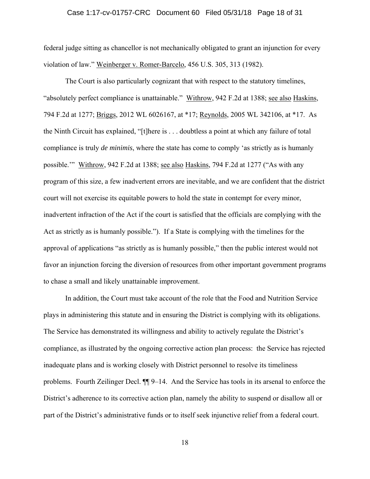#### Case 1:17-cv-01757-CRC Document 60 Filed 05/31/18 Page 18 of 31

federal judge sitting as chancellor is not mechanically obligated to grant an injunction for every violation of law." Weinberger v. Romer-Barcelo, 456 U.S. 305, 313 (1982).

The Court is also particularly cognizant that with respect to the statutory timelines, "absolutely perfect compliance is unattainable." Withrow, 942 F.2d at 1388; see also Haskins, 794 F.2d at 1277; Briggs, 2012 WL 6026167, at \*17; Reynolds, 2005 WL 342106, at \*17. As the Ninth Circuit has explained, "[t]here is . . . doubtless a point at which any failure of total compliance is truly *de minimis*, where the state has come to comply 'as strictly as is humanly possible.'" Withrow, 942 F.2d at 1388; see also Haskins, 794 F.2d at 1277 ("As with any program of this size, a few inadvertent errors are inevitable, and we are confident that the district court will not exercise its equitable powers to hold the state in contempt for every minor, inadvertent infraction of the Act if the court is satisfied that the officials are complying with the Act as strictly as is humanly possible."). If a State is complying with the timelines for the approval of applications "as strictly as is humanly possible," then the public interest would not favor an injunction forcing the diversion of resources from other important government programs to chase a small and likely unattainable improvement.

In addition, the Court must take account of the role that the Food and Nutrition Service plays in administering this statute and in ensuring the District is complying with its obligations. The Service has demonstrated its willingness and ability to actively regulate the District's compliance, as illustrated by the ongoing corrective action plan process: the Service has rejected inadequate plans and is working closely with District personnel to resolve its timeliness problems. Fourth Zeilinger Decl. ¶¶ 9–14. And the Service has tools in its arsenal to enforce the District's adherence to its corrective action plan, namely the ability to suspend or disallow all or part of the District's administrative funds or to itself seek injunctive relief from a federal court.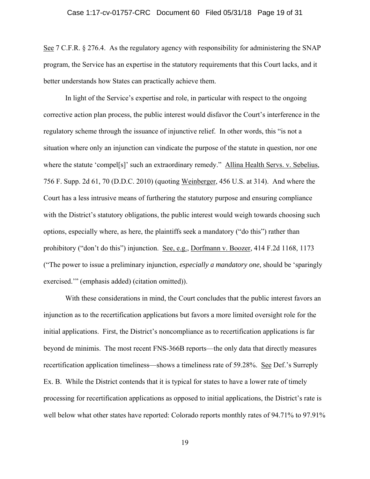See 7 C.F.R. § 276.4. As the regulatory agency with responsibility for administering the SNAP program, the Service has an expertise in the statutory requirements that this Court lacks, and it better understands how States can practically achieve them.

In light of the Service's expertise and role, in particular with respect to the ongoing corrective action plan process, the public interest would disfavor the Court's interference in the regulatory scheme through the issuance of injunctive relief. In other words, this "is not a situation where only an injunction can vindicate the purpose of the statute in question, nor one where the statute 'compel[s]' such an extraordinary remedy." Allina Health Servs. v. Sebelius, 756 F. Supp. 2d 61, 70 (D.D.C. 2010) (quoting Weinberger, 456 U.S. at 314). And where the Court has a less intrusive means of furthering the statutory purpose and ensuring compliance with the District's statutory obligations, the public interest would weigh towards choosing such options, especially where, as here, the plaintiffs seek a mandatory ("do this") rather than prohibitory ("don't do this") injunction. See, e.g., Dorfmann v. Boozer, 414 F.2d 1168, 1173 ("The power to issue a preliminary injunction, *especially a mandatory one*, should be 'sparingly exercised.'" (emphasis added) (citation omitted)).

With these considerations in mind, the Court concludes that the public interest favors an injunction as to the recertification applications but favors a more limited oversight role for the initial applications. First, the District's noncompliance as to recertification applications is far beyond de minimis. The most recent FNS-366B reports—the only data that directly measures recertification application timeliness—shows a timeliness rate of 59.28%. See Def.'s Surreply Ex. B. While the District contends that it is typical for states to have a lower rate of timely processing for recertification applications as opposed to initial applications, the District's rate is well below what other states have reported: Colorado reports monthly rates of 94.71% to 97.91%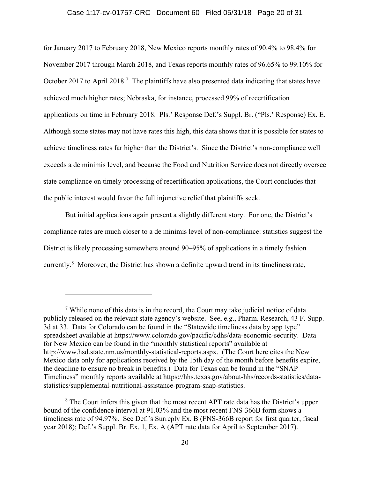#### Case 1:17-cv-01757-CRC Document 60 Filed 05/31/18 Page 20 of 31

for January 2017 to February 2018, New Mexico reports monthly rates of 90.4% to 98.4% for November 2017 through March 2018, and Texas reports monthly rates of 96.65% to 99.10% for October 2017 to April 2018.<sup>7</sup> The plaintiffs have also presented data indicating that states have achieved much higher rates; Nebraska, for instance, processed 99% of recertification applications on time in February 2018. Pls.' Response Def.'s Suppl. Br. ("Pls.' Response) Ex. E. Although some states may not have rates this high, this data shows that it is possible for states to achieve timeliness rates far higher than the District's. Since the District's non-compliance well exceeds a de minimis level, and because the Food and Nutrition Service does not directly oversee state compliance on timely processing of recertification applications, the Court concludes that the public interest would favor the full injunctive relief that plaintiffs seek.

But initial applications again present a slightly different story. For one, the District's compliance rates are much closer to a de minimis level of non-compliance: statistics suggest the District is likely processing somewhere around 90–95% of applications in a timely fashion currently.<sup>8</sup> Moreover, the District has shown a definite upward trend in its timeliness rate,

 $\overline{a}$ 

 $7$  While none of this data is in the record, the Court may take judicial notice of data publicly released on the relevant state agency's website. See, e.g., Pharm. Research, 43 F. Supp. 3d at 33. Data for Colorado can be found in the "Statewide timeliness data by app type" spreadsheet available at https://www.colorado.gov/pacific/cdhs/data-economic-security. Data for New Mexico can be found in the "monthly statistical reports" available at http://www.hsd.state.nm.us/monthly-statistical-reports.aspx. (The Court here cites the New Mexico data only for applications received by the 15th day of the month before benefits expire, the deadline to ensure no break in benefits.) Data for Texas can be found in the "SNAP Timeliness" monthly reports available at https://hhs.texas.gov/about-hhs/records-statistics/datastatistics/supplemental-nutritional-assistance-program-snap-statistics.

<sup>&</sup>lt;sup>8</sup> The Court infers this given that the most recent APT rate data has the District's upper bound of the confidence interval at 91.03% and the most recent FNS-366B form shows a timeliness rate of 94.97%. See Def.'s Surreply Ex. B (FNS-366B report for first quarter, fiscal year 2018); Def.'s Suppl. Br. Ex. 1, Ex. A (APT rate data for April to September 2017).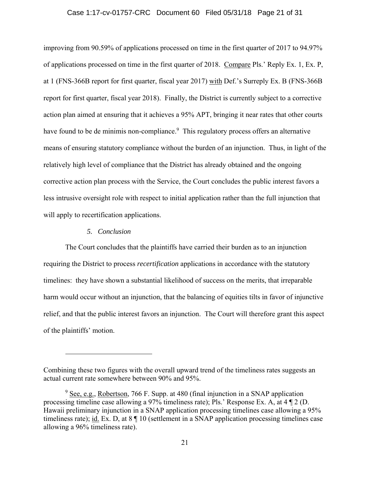#### Case 1:17-cv-01757-CRC Document 60 Filed 05/31/18 Page 21 of 31

improving from 90.59% of applications processed on time in the first quarter of 2017 to 94.97% of applications processed on time in the first quarter of 2018. Compare Pls.' Reply Ex. 1, Ex. P, at 1 (FNS-366B report for first quarter, fiscal year 2017) with Def.'s Surreply Ex. B (FNS-366B report for first quarter, fiscal year 2018). Finally, the District is currently subject to a corrective action plan aimed at ensuring that it achieves a 95% APT, bringing it near rates that other courts have found to be de minimis non-compliance.<sup>9</sup> This regulatory process offers an alternative means of ensuring statutory compliance without the burden of an injunction. Thus, in light of the relatively high level of compliance that the District has already obtained and the ongoing corrective action plan process with the Service, the Court concludes the public interest favors a less intrusive oversight role with respect to initial application rather than the full injunction that will apply to recertification applications.

#### *5. Conclusion*

 $\overline{a}$ 

The Court concludes that the plaintiffs have carried their burden as to an injunction requiring the District to process *recertification* applications in accordance with the statutory timelines: they have shown a substantial likelihood of success on the merits, that irreparable harm would occur without an injunction, that the balancing of equities tilts in favor of injunctive relief, and that the public interest favors an injunction. The Court will therefore grant this aspect of the plaintiffs' motion.

Combining these two figures with the overall upward trend of the timeliness rates suggests an actual current rate somewhere between 90% and 95%.

 $9 \text{ See, e.g., Robertson, } 766 \text{ F.}$  Supp. at 480 (final injunction in a SNAP application processing timeline case allowing a 97% timeliness rate); Pls.' Response Ex. A, at 4 ¶ 2 (D. Hawaii preliminary injunction in a SNAP application processing timelines case allowing a 95% timeliness rate); id. Ex. D, at 8 | 10 (settlement in a SNAP application processing timelines case allowing a 96% timeliness rate).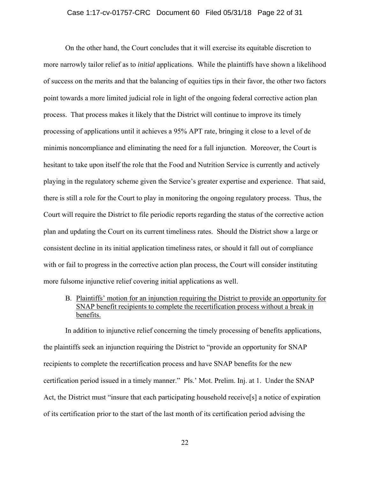#### Case 1:17-cv-01757-CRC Document 60 Filed 05/31/18 Page 22 of 31

On the other hand, the Court concludes that it will exercise its equitable discretion to more narrowly tailor relief as to *initial* applications. While the plaintiffs have shown a likelihood of success on the merits and that the balancing of equities tips in their favor, the other two factors point towards a more limited judicial role in light of the ongoing federal corrective action plan process. That process makes it likely that the District will continue to improve its timely processing of applications until it achieves a 95% APT rate, bringing it close to a level of de minimis noncompliance and eliminating the need for a full injunction. Moreover, the Court is hesitant to take upon itself the role that the Food and Nutrition Service is currently and actively playing in the regulatory scheme given the Service's greater expertise and experience. That said, there is still a role for the Court to play in monitoring the ongoing regulatory process. Thus, the Court will require the District to file periodic reports regarding the status of the corrective action plan and updating the Court on its current timeliness rates. Should the District show a large or consistent decline in its initial application timeliness rates, or should it fall out of compliance with or fail to progress in the corrective action plan process, the Court will consider instituting more fulsome injunctive relief covering initial applications as well.

B. Plaintiffs' motion for an injunction requiring the District to provide an opportunity for SNAP benefit recipients to complete the recertification process without a break in benefits.

In addition to injunctive relief concerning the timely processing of benefits applications, the plaintiffs seek an injunction requiring the District to "provide an opportunity for SNAP recipients to complete the recertification process and have SNAP benefits for the new certification period issued in a timely manner." Pls.' Mot. Prelim. Inj. at 1. Under the SNAP Act, the District must "insure that each participating household receive<sup>[5]</sup> a notice of expiration of its certification prior to the start of the last month of its certification period advising the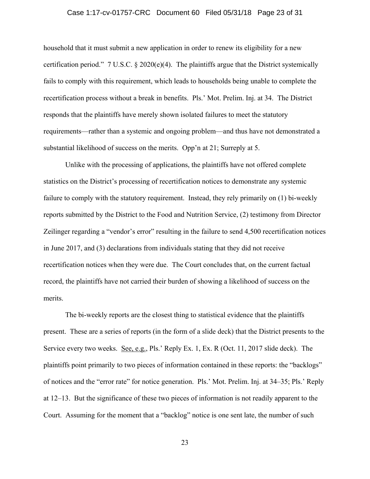#### Case 1:17-cv-01757-CRC Document 60 Filed 05/31/18 Page 23 of 31

household that it must submit a new application in order to renew its eligibility for a new certification period."  $7 \text{ U.S.C.} \$   $2020(e)(4)$ . The plaintiffs argue that the District systemically fails to comply with this requirement, which leads to households being unable to complete the recertification process without a break in benefits. Pls.' Mot. Prelim. Inj. at 34. The District responds that the plaintiffs have merely shown isolated failures to meet the statutory requirements—rather than a systemic and ongoing problem—and thus have not demonstrated a substantial likelihood of success on the merits. Opp'n at 21; Surreply at 5.

Unlike with the processing of applications, the plaintiffs have not offered complete statistics on the District's processing of recertification notices to demonstrate any systemic failure to comply with the statutory requirement. Instead, they rely primarily on (1) bi-weekly reports submitted by the District to the Food and Nutrition Service, (2) testimony from Director Zeilinger regarding a "vendor's error" resulting in the failure to send 4,500 recertification notices in June 2017, and (3) declarations from individuals stating that they did not receive recertification notices when they were due. The Court concludes that, on the current factual record, the plaintiffs have not carried their burden of showing a likelihood of success on the merits.

The bi-weekly reports are the closest thing to statistical evidence that the plaintiffs present. These are a series of reports (in the form of a slide deck) that the District presents to the Service every two weeks. <u>See, e.g.</u>, Pls.' Reply Ex. 1, Ex. R (Oct. 11, 2017 slide deck). The plaintiffs point primarily to two pieces of information contained in these reports: the "backlogs" of notices and the "error rate" for notice generation. Pls.' Mot. Prelim. Inj. at 34–35; Pls.' Reply at 12–13. But the significance of these two pieces of information is not readily apparent to the Court. Assuming for the moment that a "backlog" notice is one sent late, the number of such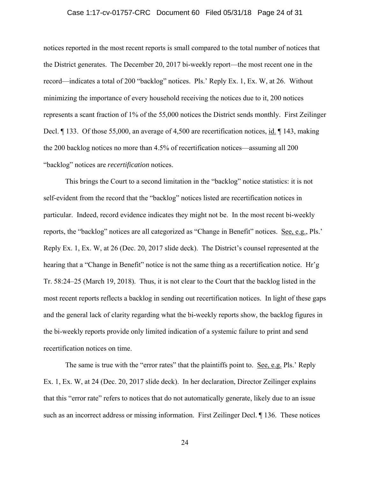#### Case 1:17-cv-01757-CRC Document 60 Filed 05/31/18 Page 24 of 31

notices reported in the most recent reports is small compared to the total number of notices that the District generates. The December 20, 2017 bi-weekly report—the most recent one in the record—indicates a total of 200 "backlog" notices. Pls.' Reply Ex. 1, Ex. W, at 26. Without minimizing the importance of every household receiving the notices due to it, 200 notices represents a scant fraction of 1% of the 55,000 notices the District sends monthly. First Zeilinger Decl. ¶ 133. Of those 55,000, an average of 4,500 are recertification notices, id. ¶ 143, making the 200 backlog notices no more than 4.5% of recertification notices—assuming all 200 "backlog" notices are *recertification* notices.

This brings the Court to a second limitation in the "backlog" notice statistics: it is not self-evident from the record that the "backlog" notices listed are recertification notices in particular. Indeed, record evidence indicates they might not be. In the most recent bi-weekly reports, the "backlog" notices are all categorized as "Change in Benefit" notices. See, e.g., Pls.' Reply Ex. 1, Ex. W, at 26 (Dec. 20, 2017 slide deck). The District's counsel represented at the hearing that a "Change in Benefit" notice is not the same thing as a recertification notice. Hr'g Tr. 58:24–25 (March 19, 2018). Thus, it is not clear to the Court that the backlog listed in the most recent reports reflects a backlog in sending out recertification notices. In light of these gaps and the general lack of clarity regarding what the bi-weekly reports show, the backlog figures in the bi-weekly reports provide only limited indication of a systemic failure to print and send recertification notices on time.

The same is true with the "error rates" that the plaintiffs point to. See, e.g. Pls.' Reply Ex. 1, Ex. W, at 24 (Dec. 20, 2017 slide deck). In her declaration, Director Zeilinger explains that this "error rate" refers to notices that do not automatically generate, likely due to an issue such as an incorrect address or missing information. First Zeilinger Decl. 136. These notices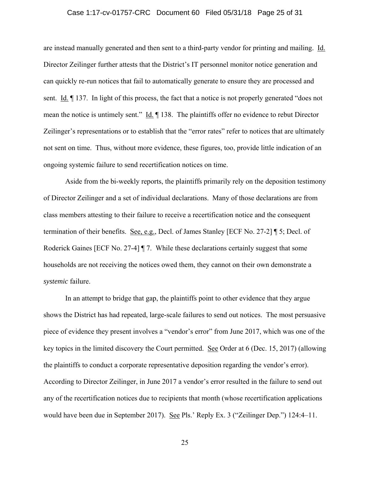#### Case 1:17-cv-01757-CRC Document 60 Filed 05/31/18 Page 25 of 31

are instead manually generated and then sent to a third-party vendor for printing and mailing. Id. Director Zeilinger further attests that the District's IT personnel monitor notice generation and can quickly re-run notices that fail to automatically generate to ensure they are processed and sent. Id. ¶ 137. In light of this process, the fact that a notice is not properly generated "does not mean the notice is untimely sent." Id. ¶ 138. The plaintiffs offer no evidence to rebut Director Zeilinger's representations or to establish that the "error rates" refer to notices that are ultimately not sent on time. Thus, without more evidence, these figures, too, provide little indication of an ongoing systemic failure to send recertification notices on time.

Aside from the bi-weekly reports, the plaintiffs primarily rely on the deposition testimony of Director Zeilinger and a set of individual declarations. Many of those declarations are from class members attesting to their failure to receive a recertification notice and the consequent termination of their benefits. See, e.g., Decl. of James Stanley [ECF No. 27-2] ¶ 5; Decl. of Roderick Gaines [ECF No. 27-4] ¶ 7. While these declarations certainly suggest that some households are not receiving the notices owed them, they cannot on their own demonstrate a *systemic* failure.

In an attempt to bridge that gap, the plaintiffs point to other evidence that they argue shows the District has had repeated, large-scale failures to send out notices. The most persuasive piece of evidence they present involves a "vendor's error" from June 2017, which was one of the key topics in the limited discovery the Court permitted. See Order at 6 (Dec. 15, 2017) (allowing the plaintiffs to conduct a corporate representative deposition regarding the vendor's error). According to Director Zeilinger, in June 2017 a vendor's error resulted in the failure to send out any of the recertification notices due to recipients that month (whose recertification applications would have been due in September 2017). See Pls.' Reply Ex. 3 ("Zeilinger Dep.") 124:4–11.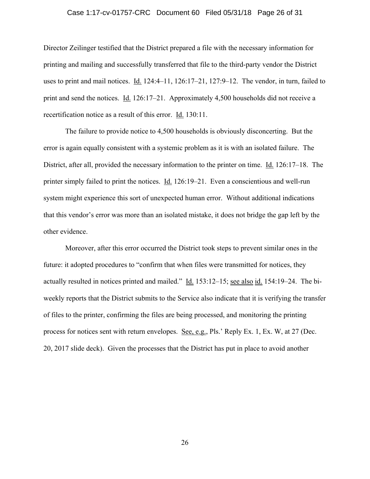#### Case 1:17-cv-01757-CRC Document 60 Filed 05/31/18 Page 26 of 31

Director Zeilinger testified that the District prepared a file with the necessary information for printing and mailing and successfully transferred that file to the third-party vendor the District uses to print and mail notices. Id. 124:4–11, 126:17–21, 127:9–12. The vendor, in turn, failed to print and send the notices. Id. 126:17–21. Approximately 4,500 households did not receive a recertification notice as a result of this error. Id. 130:11.

The failure to provide notice to 4,500 households is obviously disconcerting. But the error is again equally consistent with a systemic problem as it is with an isolated failure. The District, after all, provided the necessary information to the printer on time. Id. 126:17–18. The printer simply failed to print the notices. Id. 126:19–21. Even a conscientious and well-run system might experience this sort of unexpected human error. Without additional indications that this vendor's error was more than an isolated mistake, it does not bridge the gap left by the other evidence.

Moreover, after this error occurred the District took steps to prevent similar ones in the future: it adopted procedures to "confirm that when files were transmitted for notices, they actually resulted in notices printed and mailed." Id. 153:12–15; see also id. 154:19–24. The biweekly reports that the District submits to the Service also indicate that it is verifying the transfer of files to the printer, confirming the files are being processed, and monitoring the printing process for notices sent with return envelopes. See, e.g., Pls.' Reply Ex. 1, Ex. W, at 27 (Dec. 20, 2017 slide deck). Given the processes that the District has put in place to avoid another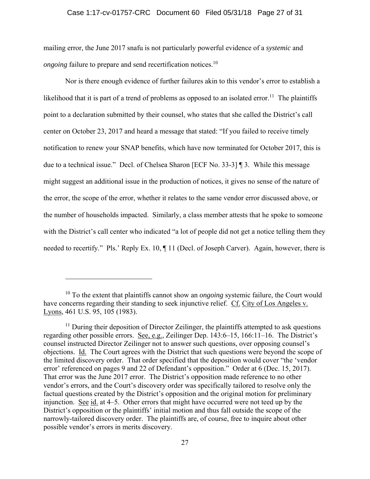### Case 1:17-cv-01757-CRC Document 60 Filed 05/31/18 Page 27 of 31

mailing error, the June 2017 snafu is not particularly powerful evidence of a *systemic* and *ongoing* failure to prepare and send recertification notices.<sup>10</sup>

Nor is there enough evidence of further failures akin to this vendor's error to establish a likelihood that it is part of a trend of problems as opposed to an isolated error.<sup>11</sup> The plaintiffs point to a declaration submitted by their counsel, who states that she called the District's call center on October 23, 2017 and heard a message that stated: "If you failed to receive timely notification to renew your SNAP benefits, which have now terminated for October 2017, this is due to a technical issue." Decl. of Chelsea Sharon [ECF No. 33-3] ¶ 3. While this message might suggest an additional issue in the production of notices, it gives no sense of the nature of the error, the scope of the error, whether it relates to the same vendor error discussed above, or the number of households impacted. Similarly, a class member attests that he spoke to someone with the District's call center who indicated "a lot of people did not get a notice telling them they needed to recertify." Pls.' Reply Ex. 10, ¶ 11 (Decl. of Joseph Carver). Again, however, there is

 $\overline{a}$ 

<sup>&</sup>lt;sup>10</sup> To the extent that plaintiffs cannot show an *ongoing* systemic failure, the Court would have concerns regarding their standing to seek injunctive relief. Cf. City of Los Angeles v. Lyons, 461 U.S. 95, 105 (1983).

 $11$  During their deposition of Director Zeilinger, the plaintiffs attempted to ask questions regarding other possible errors. See, e.g., Zeilinger Dep. 143:6–15, 166:11–16. The District's counsel instructed Director Zeilinger not to answer such questions, over opposing counsel's objections. Id. The Court agrees with the District that such questions were beyond the scope of the limited discovery order. That order specified that the deposition would cover "the 'vendor error' referenced on pages 9 and 22 of Defendant's opposition." Order at 6 (Dec. 15, 2017). That error was the June 2017 error. The District's opposition made reference to no other vendor's errors, and the Court's discovery order was specifically tailored to resolve only the factual questions created by the District's opposition and the original motion for preliminary injunction. See id. at 4–5. Other errors that might have occurred were not teed up by the District's opposition or the plaintiffs' initial motion and thus fall outside the scope of the narrowly-tailored discovery order. The plaintiffs are, of course, free to inquire about other possible vendor's errors in merits discovery.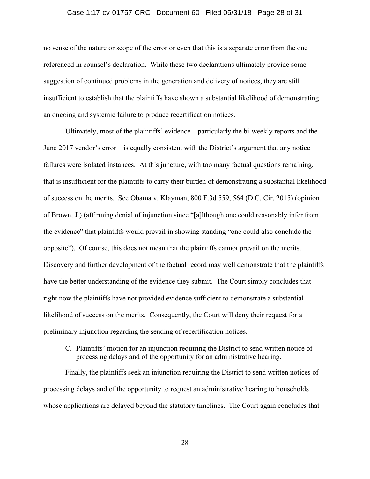#### Case 1:17-cv-01757-CRC Document 60 Filed 05/31/18 Page 28 of 31

no sense of the nature or scope of the error or even that this is a separate error from the one referenced in counsel's declaration. While these two declarations ultimately provide some suggestion of continued problems in the generation and delivery of notices, they are still insufficient to establish that the plaintiffs have shown a substantial likelihood of demonstrating an ongoing and systemic failure to produce recertification notices.

Ultimately, most of the plaintiffs' evidence—particularly the bi-weekly reports and the June 2017 vendor's error—is equally consistent with the District's argument that any notice failures were isolated instances. At this juncture, with too many factual questions remaining, that is insufficient for the plaintiffs to carry their burden of demonstrating a substantial likelihood of success on the merits. See Obama v. Klayman, 800 F.3d 559, 564 (D.C. Cir. 2015) (opinion of Brown, J.) (affirming denial of injunction since "[a]lthough one could reasonably infer from the evidence" that plaintiffs would prevail in showing standing "one could also conclude the opposite"). Of course, this does not mean that the plaintiffs cannot prevail on the merits. Discovery and further development of the factual record may well demonstrate that the plaintiffs have the better understanding of the evidence they submit. The Court simply concludes that right now the plaintiffs have not provided evidence sufficient to demonstrate a substantial likelihood of success on the merits. Consequently, the Court will deny their request for a preliminary injunction regarding the sending of recertification notices.

## C. Plaintiffs' motion for an injunction requiring the District to send written notice of processing delays and of the opportunity for an administrative hearing.

Finally, the plaintiffs seek an injunction requiring the District to send written notices of processing delays and of the opportunity to request an administrative hearing to households whose applications are delayed beyond the statutory timelines. The Court again concludes that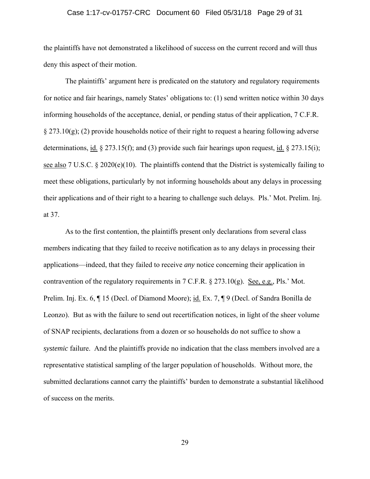#### Case 1:17-cv-01757-CRC Document 60 Filed 05/31/18 Page 29 of 31

the plaintiffs have not demonstrated a likelihood of success on the current record and will thus deny this aspect of their motion.

The plaintiffs' argument here is predicated on the statutory and regulatory requirements for notice and fair hearings, namely States' obligations to: (1) send written notice within 30 days informing households of the acceptance, denial, or pending status of their application, 7 C.F.R.  $\S 273.10(g)$ ; (2) provide households notice of their right to request a hearing following adverse determinations, id. § 273.15(f); and (3) provide such fair hearings upon request, id. § 273.15(i); see also 7 U.S.C. § 2020(e)(10). The plaintiffs contend that the District is systemically failing to meet these obligations, particularly by not informing households about any delays in processing their applications and of their right to a hearing to challenge such delays. Pls.' Mot. Prelim. Inj. at 37.

As to the first contention, the plaintiffs present only declarations from several class members indicating that they failed to receive notification as to any delays in processing their applications—indeed, that they failed to receive *any* notice concerning their application in contravention of the regulatory requirements in 7 C.F.R. § 273.10(g). See, e.g., Pls.' Mot. Prelim. Inj. Ex. 6, ¶ 15 (Decl. of Diamond Moore); id. Ex. 7, ¶ 9 (Decl. of Sandra Bonilla de Leonzo). But as with the failure to send out recertification notices, in light of the sheer volume of SNAP recipients, declarations from a dozen or so households do not suffice to show a *systemic* failure. And the plaintiffs provide no indication that the class members involved are a representative statistical sampling of the larger population of households. Without more, the submitted declarations cannot carry the plaintiffs' burden to demonstrate a substantial likelihood of success on the merits.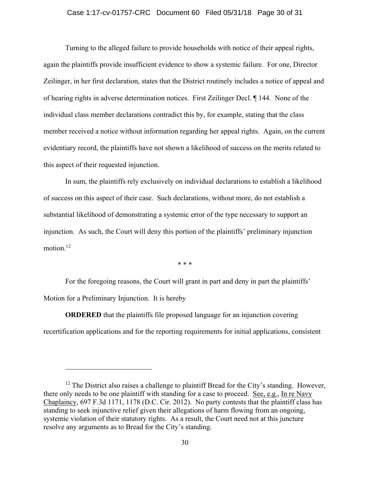#### Case 1:17-cv-01757-CRC Document 60 Filed 05/31/18 Page 30 of 31

 Turning to the alleged failure to provide households with notice of their appeal rights, again the plaintiffs provide insufficient evidence to show a systemic failure. For one, Director Zeilinger, in her first declaration, states that the District routinely includes a notice of appeal and of hearing rights in adverse determination notices. First Zeilinger Decl. ¶ 144. None of the individual class member declarations contradict this by, for example, stating that the class member received a notice without information regarding her appeal rights. Again, on the current evidentiary record, the plaintiffs have not shown a likelihood of success on the merits related to this aspect of their requested injunction.

 In sum, the plaintiffs rely exclusively on individual declarations to establish a likelihood of success on this aspect of their case. Such declarations, without more, do not establish a substantial likelihood of demonstrating a systemic error of the type necessary to support an injunction. As such, the Court will deny this portion of the plaintiffs' preliminary injunction motion $12$ 

\* \* \*

For the foregoing reasons, the Court will grant in part and deny in part the plaintiffs' Motion for a Preliminary Injunction. It is hereby

**ORDERED** that the plaintiffs file proposed language for an injunction covering recertification applications and for the reporting requirements for initial applications, consistent

 $\overline{a}$ 

 $12$  The District also raises a challenge to plaintiff Bread for the City's standing. However, there only needs to be one plaintiff with standing for a case to proceed. See, e.g., In re Navy Chaplaincy, 697 F.3d 1171, 1178 (D.C. Cir. 2012). No party contests that the plaintiff class has standing to seek injunctive relief given their allegations of harm flowing from an ongoing, systemic violation of their statutory rights. As a result, the Court need not at this juncture resolve any arguments as to Bread for the City's standing.